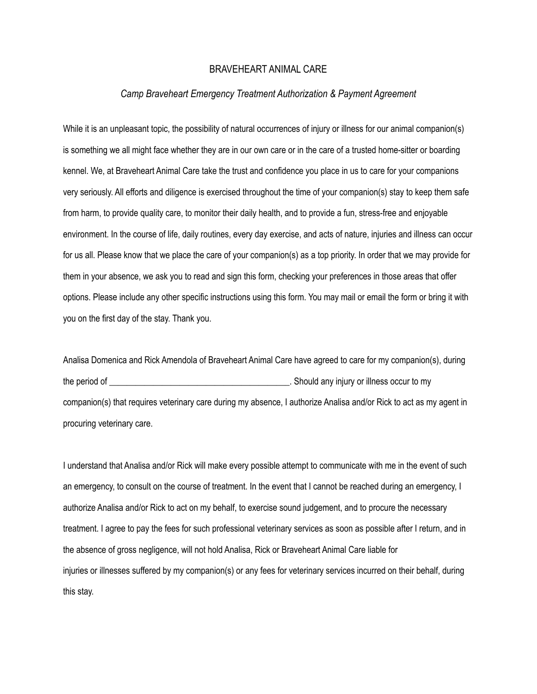## BRAVEHEART ANIMAL CARE

## *Camp Braveheart Emergency Treatment Authorization & Payment Agreement*

While it is an unpleasant topic, the possibility of natural occurrences of injury or illness for our animal companion(s) is something we all might face whether they are in our own care or in the care of a trusted home-sitter or boarding kennel. We, at Braveheart Animal Care take the trust and confidence you place in us to care for your companions very seriously. All efforts and diligence is exercised throughout the time of your companion(s) stay to keep them safe from harm, to provide quality care, to monitor their daily health, and to provide a fun, stress-free and enjoyable environment. In the course of life, daily routines, every day exercise, and acts of nature, injuries and illness can occur for us all. Please know that we place the care of your companion(s) as a top priority. In order that we may provide for them in your absence, we ask you to read and sign this form, checking your preferences in those areas that offer options. Please include any other specific instructions using this form. You may mail or email the form or bring it with you on the first day of the stay. Thank you.

Analisa Domenica and Rick Amendola of Braveheart Animal Care have agreed to care for my companion(s), during the period of \_\_\_\_\_\_\_\_\_\_\_\_\_\_\_\_\_\_\_\_\_\_\_\_\_\_\_\_\_\_\_\_\_\_\_\_\_\_\_\_\_. Should any injury or illness occur to my companion(s) that requires veterinary care during my absence, I authorize Analisa and/or Rick to act as my agent in procuring veterinary care.

I understand that Analisa and/or Rick will make every possible attempt to communicate with me in the event of such an emergency, to consult on the course of treatment. In the event that I cannot be reached during an emergency, I authorize Analisa and/or Rick to act on my behalf, to exercise sound judgement, and to procure the necessary treatment. I agree to pay the fees for such professional veterinary services as soon as possible after I return, and in the absence of gross negligence, will not hold Analisa, Rick or Braveheart Animal Care liable for injuries or illnesses suffered by my companion(s) or any fees for veterinary services incurred on their behalf, during this stay.